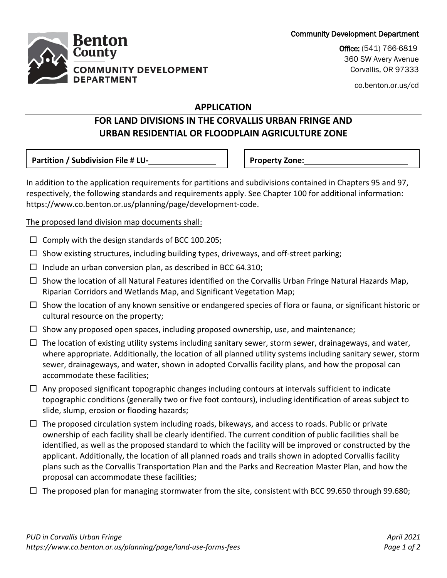Community Development Department



Office: (541) 766-6819 360 SW Avery Avenue Corvallis, OR 97333

co.benton.or.us/cd

## **APPLICATION**

## **FOR LAND DIVISIONS IN THE CORVALLIS URBAN FRINGE AND URBAN RESIDENTIAL OR FLOODPLAIN AGRICULTURE ZONE**

**Partition / Subdivision File # LU- Property Zone:**

In addition to the application requirements for partitions and subdivisions contained in Chapters 95 and 97, respectively, the following standards and requirements apply. See Chapter 100 for additional information: https://www.co.benton.or.us/planning/page/development-code.

## The proposed land division map documents shall:

- $\Box$  Comply with the design standards of BCC 100.205;
- $\Box$  Show existing structures, including building types, driveways, and off-street parking;
- $\Box$  Include an urban conversion plan, as described in BCC 64.310;
- $\Box$  Show the location of all Natural Features identified on the Corvallis Urban Fringe Natural Hazards Map, Riparian Corridors and Wetlands Map, and Significant Vegetation Map;
- $\Box$  Show the location of any known sensitive or endangered species of flora or fauna, or significant historic or cultural resource on the property;
- $\Box$  Show any proposed open spaces, including proposed ownership, use, and maintenance;
- $\Box$  The location of existing utility systems including sanitary sewer, storm sewer, drainageways, and water, where appropriate. Additionally, the location of all planned utility systems including sanitary sewer, storm sewer, drainageways, and water, shown in adopted Corvallis facility plans, and how the proposal can accommodate these facilities;
- $\Box$  Any proposed significant topographic changes including contours at intervals sufficient to indicate topographic conditions (generally two or five foot contours), including identification of areas subject to slide, slump, erosion or flooding hazards;
- $\Box$  The proposed circulation system including roads, bikeways, and access to roads. Public or private ownership of each facility shall be clearly identified. The current condition of public facilities shall be identified, as well as the proposed standard to which the facility will be improved or constructed by the applicant. Additionally, the location of all planned roads and trails shown in adopted Corvallis facility plans such as the Corvallis Transportation Plan and the Parks and Recreation Master Plan, and how the proposal can accommodate these facilities;
- $\Box$  The proposed plan for managing stormwater from the site, consistent with BCC 99.650 through 99.680;